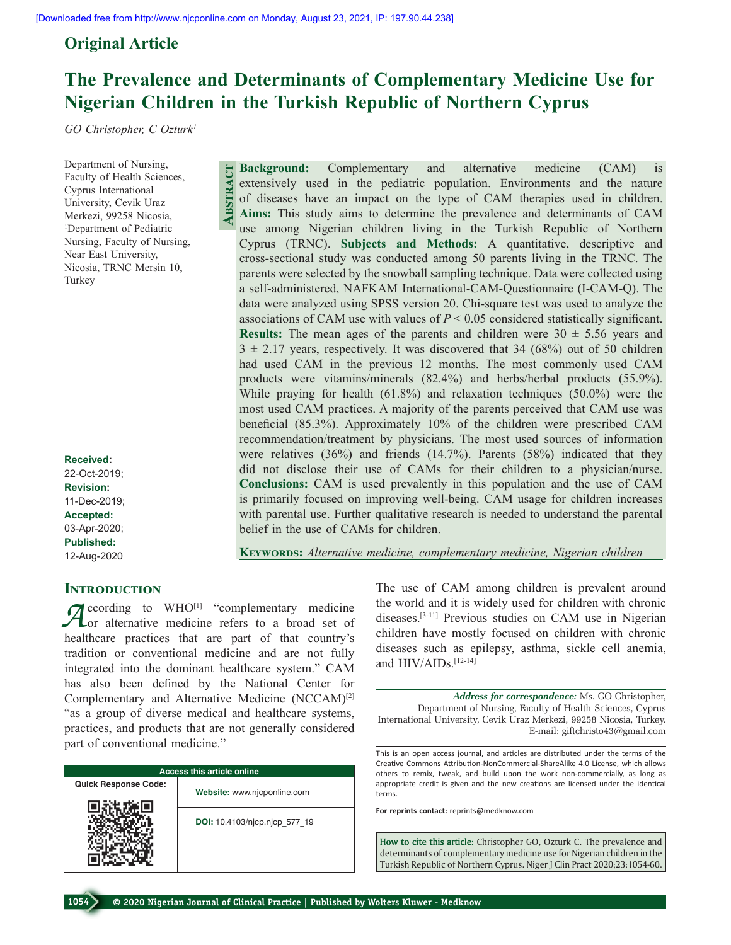**Abstract**

## **Original Article**

# **The Prevalence and Determinants of Complementary Medicine Use for Nigerian Children in the Turkish Republic of Northern Cyprus**

*GO Christopher, C Ozturk1*

Department of Nursing, Faculty of Health Sciences, Cyprus International University, Cevik Uraz Merkezi, 99258 Nicosia, 1 Department of Pediatric Nursing, Faculty of Nursing, Near East University, Nicosia, TRNC Mersin 10, Turkey

**Received:** 22-Oct-2019; **Revision:** 11-Dec-2019; **Accepted:** 03-Apr-2020; **Published:** 12-Aug-2020

## **INTRODUCTION**

*A*ccording to WHO<sup>[1]</sup> "complementary medicine or alternative medicine refers to a broad set of healthcare practices that are part of that country's tradition or conventional medicine and are not fully integrated into the dominant healthcare system." CAM has also been defined by the National Center for Complementary and Alternative Medicine (NCCAM)[2] "as a group of diverse medical and healthcare systems, practices, and products that are not generally considered part of conventional medicine."

| <b>Access this article online</b> |                               |  |  |  |  |
|-----------------------------------|-------------------------------|--|--|--|--|
| <b>Quick Response Code:</b>       | Website: www.njcponline.com   |  |  |  |  |
|                                   | DOI: 10.4103/njcp.njcp 577 19 |  |  |  |  |
|                                   |                               |  |  |  |  |

**Background:** Complementary and alternative medicine (CAM) is extensively used in the pediatric population. Environments and the nature of diseases have an impact on the type of CAM therapies used in children. **Aims:** This study aims to determine the prevalence and determinants of CAM use among Nigerian children living in the Turkish Republic of Northern Cyprus (TRNC). **Subjects and Methods:** A quantitative, descriptive and cross‑sectional study was conducted among 50 parents living in the TRNC. The parents were selected by the snowball sampling technique. Data were collected using a self‑administered, NAFKAM International‑CAM‑Questionnaire (I‑CAM‑Q). The data were analyzed using SPSS version 20. Chi‑square test was used to analyze the associations of CAM use with values of  $P < 0.05$  considered statistically significant. **Results:** The mean ages of the parents and children were  $30 \pm 5.56$  years and  $3 \pm 2.17$  years, respectively. It was discovered that 34 (68%) out of 50 children had used CAM in the previous 12 months. The most commonly used CAM products were vitamins/minerals (82.4%) and herbs/herbal products (55.9%). While praying for health (61.8%) and relaxation techniques (50.0%) were the most used CAM practices. A majority of the parents perceived that CAM use was beneficial (85.3%). Approximately 10% of the children were prescribed CAM recommendation/treatment by physicians. The most used sources of information were relatives (36%) and friends (14.7%). Parents (58%) indicated that they did not disclose their use of CAMs for their children to a physician/nurse. **Conclusions:** CAM is used prevalently in this population and the use of CAM is primarily focused on improving well-being. CAM usage for children increases with parental use. Further qualitative research is needed to understand the parental belief in the use of CAMs for children.

**Keywords:** *Alternative medicine, complementary medicine, Nigerian children*

The use of CAM among children is prevalent around the world and it is widely used for children with chronic diseases.[3‑11] Previous studies on CAM use in Nigerian children have mostly focused on children with chronic diseases such as epilepsy, asthma, sickle cell anemia, and HIV/AIDs.<sup>[12-14]</sup>

*Address for correspondence:* Ms. GO Christopher, Department of Nursing, Faculty of Health Sciences, Cyprus International University, Cevik Uraz Merkezi, 99258 Nicosia, Turkey. E‑mail: giftchristo43@gmail.com

This is an open access journal, and articles are distributed under the terms of the Creative Commons Attribution‑NonCommercial‑ShareAlike 4.0 License, which allows others to remix, tweak, and build upon the work non‑commercially, as long as appropriate credit is given and the new creations are licensed under the identical terms.

**For reprints contact:** reprints@medknow.com

**How to cite this article:** Christopher GO, Ozturk C. The prevalence and determinants of complementary medicine use for Nigerian children in the Turkish Republic of Northern Cyprus. Niger J Clin Pract 2020;23:1054-60.

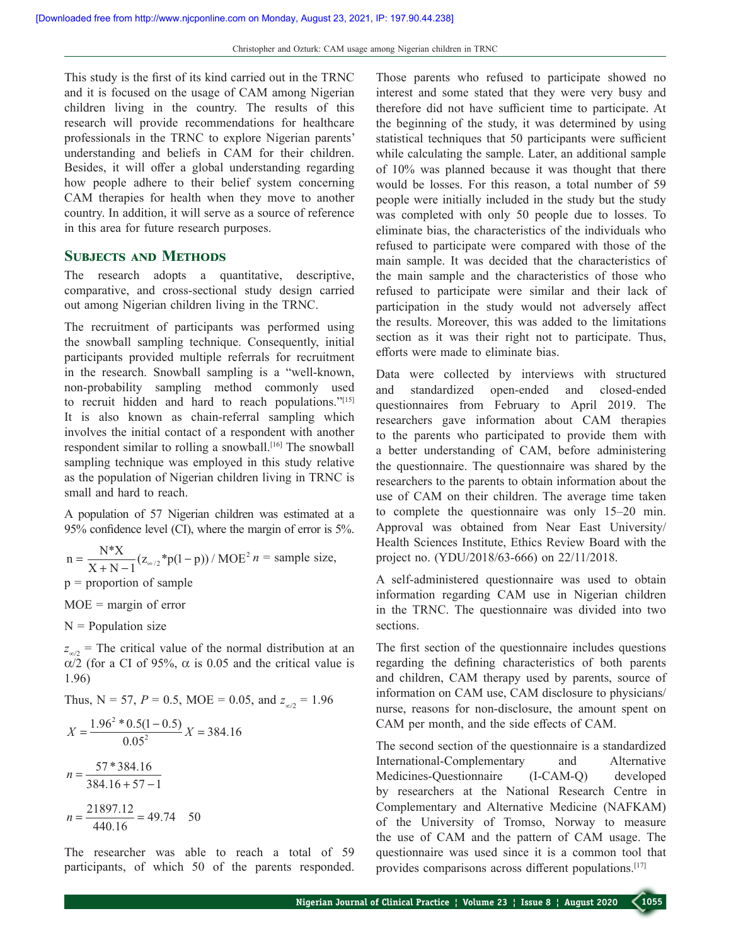This study is the first of its kind carried out in the TRNC and it is focused on the usage of CAM among Nigerian children living in the country. The results of this research will provide recommendations for healthcare professionals in the TRNC to explore Nigerian parents' understanding and beliefs in CAM for their children. Besides, it will offer a global understanding regarding how people adhere to their belief system concerning CAM therapies for health when they move to another country. In addition, it will serve as a source of reference in this area for future research purposes.

## **SUBJECTS AND METHODS**

The research adopts a quantitative, descriptive, comparative, and cross‑sectional study design carried out among Nigerian children living in the TRNC.

The recruitment of participants was performed using the snowball sampling technique. Consequently, initial participants provided multiple referrals for recruitment in the research. Snowball sampling is a "well-known, non‑probability sampling method commonly used to recruit hidden and hard to reach populations."[15] It is also known as chain-referral sampling which involves the initial contact of a respondent with another respondent similar to rolling a snowball.<sup>[16]</sup> The snowball sampling technique was employed in this study relative as the population of Nigerian children living in TRNC is small and hard to reach.

A population of 57 Nigerian children was estimated at a 95% confidence level (CI), where the margin of error is 5%.

$$
n = \frac{N^*X}{X + N - 1} (z_{\infty/2}^* p(1 - p)) / \text{MOE}^2 n = \text{sample size},
$$

 $p =$  proportion of sample

 $MOE =$  margin of error

 $N =$  Population size

 $z_{\infty/2}$  = The critical value of the normal distribution at an α/2 (for a CI of 95%,  $\alpha$  is 0.05 and the critical value is 1.96)

Thus,  $N = 57$ ,  $P = 0.5$ , MOE = 0.05, and  $z_{\infty/2} = 1.96$ 

$$
X = \frac{1.96^2 * 0.5(1 - 0.5)}{0.05^2} X = 384.16
$$
  

$$
n = \frac{57 * 384.16}{384.16 + 57 - 1}
$$
  

$$
n = \frac{21897.12}{440.16} = 49.74 \quad 50
$$

The researcher was able to reach a total of 59 participants, of which 50 of the parents responded. Those parents who refused to participate showed no interest and some stated that they were very busy and therefore did not have sufficient time to participate. At the beginning of the study, it was determined by using statistical techniques that 50 participants were sufficient while calculating the sample. Later, an additional sample of 10% was planned because it was thought that there would be losses. For this reason, a total number of 59 people were initially included in the study but the study was completed with only 50 people due to losses. To eliminate bias, the characteristics of the individuals who refused to participate were compared with those of the main sample. It was decided that the characteristics of the main sample and the characteristics of those who refused to participate were similar and their lack of participation in the study would not adversely affect the results. Moreover, this was added to the limitations section as it was their right not to participate. Thus, efforts were made to eliminate bias.

Data were collected by interviews with structured and standardized open-ended and closed-ended questionnaires from February to April 2019. The researchers gave information about CAM therapies to the parents who participated to provide them with a better understanding of CAM, before administering the questionnaire. The questionnaire was shared by the researchers to the parents to obtain information about the use of CAM on their children. The average time taken to complete the questionnaire was only 15–20 min. Approval was obtained from Near East University/ Health Sciences Institute, Ethics Review Board with the project no. (YDU/2018/63-666) on 22/11/2018.

A self‑administered questionnaire was used to obtain information regarding CAM use in Nigerian children in the TRNC. The questionnaire was divided into two sections.

The first section of the questionnaire includes questions regarding the defining characteristics of both parents and children, CAM therapy used by parents, source of information on CAM use, CAM disclosure to physicians/ nurse, reasons for non‑disclosure, the amount spent on CAM per month, and the side effects of CAM.

The second section of the questionnaire is a standardized International-Complementary and Alternative Medicines-Questionnaire (I‑CAM‑Q) developed by researchers at the National Research Centre in Complementary and Alternative Medicine (NAFKAM) of the University of Tromso, Norway to measure the use of CAM and the pattern of CAM usage. The questionnaire was used since it is a common tool that provides comparisons across different populations.<sup>[17]</sup>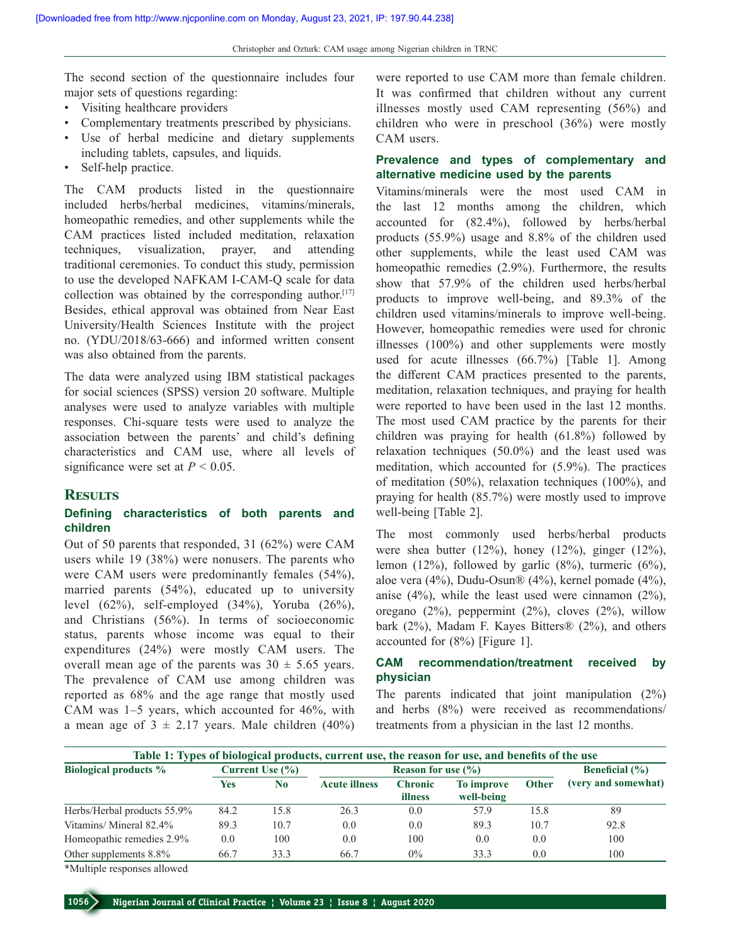The second section of the questionnaire includes four major sets of questions regarding:

- • Visiting healthcare providers
- Complementary treatments prescribed by physicians.
- • Use of herbal medicine and dietary supplements including tablets, capsules, and liquids.
- Self-help practice.

The CAM products listed in the questionnaire included herbs/herbal medicines, vitamins/minerals, homeopathic remedies, and other supplements while the CAM practices listed included meditation, relaxation techniques, visualization, prayer, and attending traditional ceremonies. To conduct this study, permission to use the developed NAFKAM I-CAM-O scale for data collection was obtained by the corresponding author.<sup>[17]</sup> Besides, ethical approval was obtained from Near East University/Health Sciences Institute with the project no. (YDU/2018/63-666) and informed written consent was also obtained from the parents.

The data were analyzed using IBM statistical packages for social sciences (SPSS) version 20 software. Multiple analyses were used to analyze variables with multiple responses. Chi‑square tests were used to analyze the association between the parents' and child's defining characteristics and CAM use, where all levels of significance were set at  $P < 0.05$ .

### **Results**

#### **Defining characteristics of both parents and children**

Out of 50 parents that responded, 31 (62%) were CAM users while 19 (38%) were nonusers. The parents who were CAM users were predominantly females (54%), married parents (54%), educated up to university level  $(62\%)$ , self-employed  $(34\%)$ , Yoruba  $(26\%)$ , and Christians (56%). In terms of socioeconomic status, parents whose income was equal to their expenditures (24%) were mostly CAM users. The overall mean age of the parents was  $30 \pm 5.65$  years. The prevalence of CAM use among children was reported as 68% and the age range that mostly used CAM was 1–5 years, which accounted for 46%, with a mean age of  $3 \pm 2.17$  years. Male children (40%) were reported to use CAM more than female children. It was confirmed that children without any current illnesses mostly used CAM representing (56%) and children who were in preschool (36%) were mostly CAM users.

### **Prevalence and types of complementary and alternative medicine used by the parents**

Vitamins/minerals were the most used CAM in the last 12 months among the children, which accounted for (82.4%), followed by herbs/herbal products (55.9%) usage and 8.8% of the children used other supplements, while the least used CAM was homeopathic remedies (2.9%). Furthermore, the results show that 57.9% of the children used herbs/herbal products to improve well‑being, and 89.3% of the children used vitamins/minerals to improve well-being. However, homeopathic remedies were used for chronic illnesses (100%) and other supplements were mostly used for acute illnesses (66.7%) [Table 1]. Among the different CAM practices presented to the parents, meditation, relaxation techniques, and praying for health were reported to have been used in the last 12 months. The most used CAM practice by the parents for their children was praying for health (61.8%) followed by relaxation techniques (50.0%) and the least used was meditation, which accounted for (5.9%). The practices of meditation (50%), relaxation techniques (100%), and praying for health (85.7%) were mostly used to improve well-being [Table 2].

The most commonly used herbs/herbal products were shea butter (12%), honey (12%), ginger (12%), lemon (12%), followed by garlic (8%), turmeric (6%), aloe vera (4%), Dudu‑Osun® (4%), kernel pomade (4%), anise (4%), while the least used were cinnamon (2%), oregano (2%), peppermint (2%), cloves (2%), willow bark (2%), Madam F. Kayes Bitters® (2%), and others accounted for (8%) [Figure 1].

## **CAM recommendation/treatment received by physician**

The parents indicated that joint manipulation (2%) and herbs (8%) were received as recommendations/ treatments from a physician in the last 12 months.

| Table 1: Types of biological products, current use, the reason for use, and benefits of the use |                     |                |                                          |                           |                          |              |                     |
|-------------------------------------------------------------------------------------------------|---------------------|----------------|------------------------------------------|---------------------------|--------------------------|--------------|---------------------|
| <b>Biological products %</b>                                                                    | Current Use $(\% )$ |                | <b>Reason for use <math>(\% )</math></b> |                           |                          |              | Beneficial $(\% )$  |
|                                                                                                 | Yes                 | N <sub>0</sub> | <b>Acute illness</b>                     | <b>Chronic</b><br>illness | To improve<br>well-being | <b>Other</b> | (very and somewhat) |
| Herbs/Herbal products 55.9%                                                                     | 84.2                | 15.8           | 26.3                                     | 0.0                       | 57.9                     | 15.8         | 89                  |
| Vitamins/Mineral 82.4%                                                                          | 89.3                | 10.7           | $0.0^{\circ}$                            | 0.0                       | 89.3                     | 10.7         | 92.8                |
| Homeopathic remedies 2.9%                                                                       | 0.0                 | 100            | 0.0                                      | 100                       | 0.0                      | 0.0          | 100                 |
| Other supplements 8.8%                                                                          | 66.7                | 33.3           | 66.7                                     | $0\%$                     | 33.3                     | 0.0          | 100                 |

\*Multiple responses allowed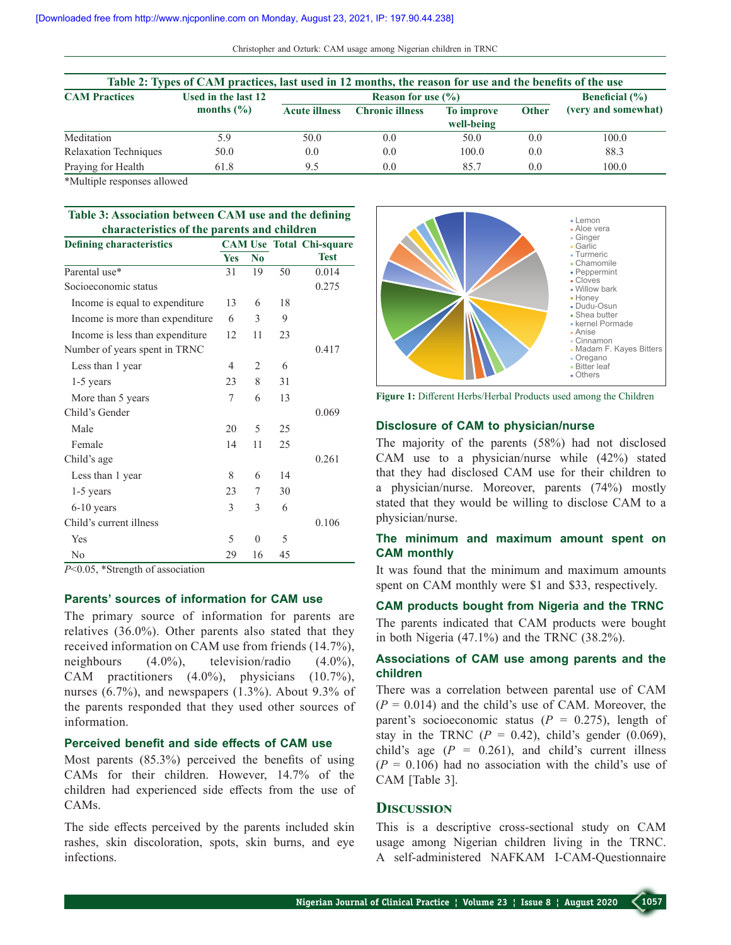Christopher and Ozturk: CAM usage among Nigerian children in TRNC

| Table 2: Types of CAM practices, last used in 12 months, the reason for use and the benefits of the use |                     |                      |                        |                          |              |                     |
|---------------------------------------------------------------------------------------------------------|---------------------|----------------------|------------------------|--------------------------|--------------|---------------------|
| <b>CAM Practices</b>                                                                                    | Used in the last 12 |                      | Beneficial $(\% )$     |                          |              |                     |
|                                                                                                         | months $(\% )$      | <b>Acute illness</b> | <b>Chronic illness</b> | To improve<br>well-being | <b>Other</b> | (very and somewhat) |
| Meditation                                                                                              | 5.9                 | 50.0                 | 0.0                    | 50.0                     | 0.0          | 100.0               |
| <b>Relaxation Techniques</b>                                                                            | 50.0                | 0.0                  | 0.0                    | 100.0                    | 0.0          | 88.3                |
| Praying for Health                                                                                      | 61.8                | 9.5                  | 0.0                    | 85.7                     | 0.0          | 100.0               |

\*Multiple responses allowed

#### **Table 3: Association between CAM use and the defining characteristics of the parents and children**

| <b>Defining characteristics</b>  |     |                |    | <b>CAM Use Total Chi-square</b> |  |
|----------------------------------|-----|----------------|----|---------------------------------|--|
|                                  | Yes | No             |    | <b>Test</b>                     |  |
| Parental use*                    | 31  | 19             | 50 | 0.014                           |  |
| Socioeconomic status             |     |                |    | 0.275                           |  |
| Income is equal to expenditure   | 13  | 6              | 18 |                                 |  |
| Income is more than expenditure  | 6   | 3              | 9  |                                 |  |
| Income is less than expenditure. | 12  | 11             | 23 |                                 |  |
| Number of years spent in TRNC    |     |                |    | 0.417                           |  |
| Less than 1 year                 | 4   | 2              | 6  |                                 |  |
| $1-5$ years                      | 23  | 8              | 31 |                                 |  |
| More than 5 years                | 7   | 6              | 13 |                                 |  |
| Child's Gender                   |     |                |    | 0.069                           |  |
| Male                             | 20  | 5              | 25 |                                 |  |
| Female                           | 14  | 11             | 25 |                                 |  |
| Child's age                      |     |                |    | 0.261                           |  |
| Less than 1 year                 | 8   | 6              | 14 |                                 |  |
| $1-5$ years                      | 23  | 7              | 30 |                                 |  |
| $6-10$ years                     | 3   | 3              | 6  |                                 |  |
| Child's current illness          |     |                |    | 0.106                           |  |
| Yes                              | 5   | $\overline{0}$ | 5  |                                 |  |
| No                               | 29  | 16             | 45 |                                 |  |

*P*<0.05, \*Strength of association

### **Parents' sources of information for CAM use**

The primary source of information for parents are relatives (36.0%). Other parents also stated that they received information on CAM use from friends (14.7%), neighbours (4.0%), television/radio (4.0%), CAM practitioners (4.0%), physicians (10.7%), nurses (6.7%), and newspapers (1.3%). About 9.3% of the parents responded that they used other sources of information.

## **Perceived benefit and side effects of CAM use**

Most parents (85.3%) perceived the benefits of using CAMs for their children. However, 14.7% of the children had experienced side effects from the use of CAMs.

The side effects perceived by the parents included skin rashes, skin discoloration, spots, skin burns, and eye infections.



**Figure 1:** Different Herbs/Herbal Products used among the Children

#### **Disclosure of CAM to physician/nurse**

The majority of the parents (58%) had not disclosed CAM use to a physician/nurse while (42%) stated that they had disclosed CAM use for their children to a physician/nurse. Moreover, parents (74%) mostly stated that they would be willing to disclose CAM to a physician/nurse.

## **The minimum and maximum amount spent on CAM monthly**

It was found that the minimum and maximum amounts spent on CAM monthly were \$1 and \$33, respectively.

#### **CAM products bought from Nigeria and the TRNC**

The parents indicated that CAM products were bought in both Nigeria (47.1%) and the TRNC (38.2%).

## **Associations of CAM use among parents and the children**

There was a correlation between parental use of CAM  $(P = 0.014)$  and the child's use of CAM. Moreover, the parent's socioeconomic status  $(P = 0.275)$ , length of stay in the TRNC  $(P = 0.42)$ , child's gender  $(0.069)$ , child's age  $(P = 0.261)$ , and child's current illness  $(P = 0.106)$  had no association with the child's use of CAM [Table 3].

#### **Discussion**

This is a descriptive cross-sectional study on CAM usage among Nigerian children living in the TRNC. A self‑administered NAFKAM I‑CAM‑Questionnaire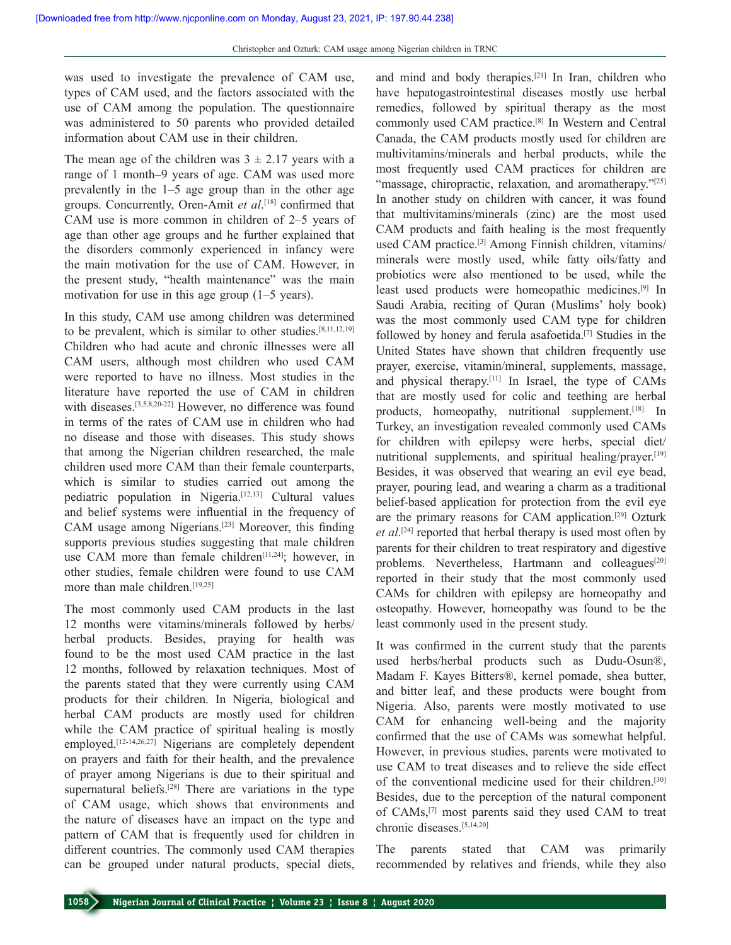was used to investigate the prevalence of CAM use, types of CAM used, and the factors associated with the use of CAM among the population. The questionnaire was administered to 50 parents who provided detailed information about CAM use in their children.

The mean age of the children was  $3 \pm 2.17$  years with a range of 1 month–9 years of age. CAM was used more prevalently in the 1–5 age group than in the other age groups. Concurrently, Oren‑Amit *et al*. [18] confirmed that CAM use is more common in children of 2–5 years of age than other age groups and he further explained that the disorders commonly experienced in infancy were the main motivation for the use of CAM. However, in the present study, "health maintenance" was the main motivation for use in this age group (1–5 years).

In this study, CAM use among children was determined to be prevalent, which is similar to other studies.[8,11,12,19] Children who had acute and chronic illnesses were all CAM users, although most children who used CAM were reported to have no illness. Most studies in the literature have reported the use of CAM in children with diseases.<sup>[3,5,8,20-22]</sup> However, no difference was found in terms of the rates of CAM use in children who had no disease and those with diseases. This study shows that among the Nigerian children researched, the male children used more CAM than their female counterparts, which is similar to studies carried out among the pediatric population in Nigeria.[12,13] Cultural values and belief systems were influential in the frequency of CAM usage among Nigerians.[23] Moreover, this finding supports previous studies suggesting that male children use CAM more than female children<sup>[11,24]</sup>; however, in other studies, female children were found to use CAM more than male children.<sup>[19,25]</sup>

The most commonly used CAM products in the last 12 months were vitamins/minerals followed by herbs/ herbal products. Besides, praying for health was found to be the most used CAM practice in the last 12 months, followed by relaxation techniques. Most of the parents stated that they were currently using CAM products for their children. In Nigeria, biological and herbal CAM products are mostly used for children while the CAM practice of spiritual healing is mostly employed.<sup>[12-14,26,27]</sup> Nigerians are completely dependent on prayers and faith for their health, and the prevalence of prayer among Nigerians is due to their spiritual and supernatural beliefs.<sup>[28]</sup> There are variations in the type of CAM usage, which shows that environments and the nature of diseases have an impact on the type and pattern of CAM that is frequently used for children in different countries. The commonly used CAM therapies can be grouped under natural products, special diets,

and mind and body therapies.[21] In Iran, children who have hepatogastrointestinal diseases mostly use herbal remedies, followed by spiritual therapy as the most commonly used CAM practice.[8] In Western and Central Canada, the CAM products mostly used for children are multivitamins/minerals and herbal products, while the most frequently used CAM practices for children are "massage, chiropractic, relaxation, and aromatherapy."[25] In another study on children with cancer, it was found that multivitamins/minerals (zinc) are the most used CAM products and faith healing is the most frequently used CAM practice.<sup>[3]</sup> Among Finnish children, vitamins/ minerals were mostly used, while fatty oils/fatty and probiotics were also mentioned to be used, while the least used products were homeopathic medicines.[9] In Saudi Arabia, reciting of Quran (Muslims' holy book) was the most commonly used CAM type for children followed by honey and ferula asafoetida.<sup>[7]</sup> Studies in the United States have shown that children frequently use prayer, exercise, vitamin/mineral, supplements, massage, and physical therapy.[11] In Israel, the type of CAMs that are mostly used for colic and teething are herbal products, homeopathy, nutritional supplement.<sup>[18]</sup> In Turkey, an investigation revealed commonly used CAMs for children with epilepsy were herbs, special diet/ nutritional supplements, and spiritual healing/prayer.<sup>[19]</sup> Besides, it was observed that wearing an evil eye bead, prayer, pouring lead, and wearing a charm as a traditional belief-based application for protection from the evil eye are the primary reasons for CAM application.[29] Ozturk *et al*. [24] reported that herbal therapy is used most often by parents for their children to treat respiratory and digestive problems. Nevertheless, Hartmann and colleagues<sup>[20]</sup> reported in their study that the most commonly used CAMs for children with epilepsy are homeopathy and osteopathy. However, homeopathy was found to be the least commonly used in the present study.

It was confirmed in the current study that the parents used herbs/herbal products such as Dudu-Osun®, Madam F. Kayes Bitters®, kernel pomade, shea butter, and bitter leaf, and these products were bought from Nigeria. Also, parents were mostly motivated to use CAM for enhancing well-being and the majority confirmed that the use of CAMs was somewhat helpful. However, in previous studies, parents were motivated to use CAM to treat diseases and to relieve the side effect of the conventional medicine used for their children.[30] Besides, due to the perception of the natural component of CAMs,[7] most parents said they used CAM to treat chronic diseases.[5,14,20]

The parents stated that CAM was primarily recommended by relatives and friends, while they also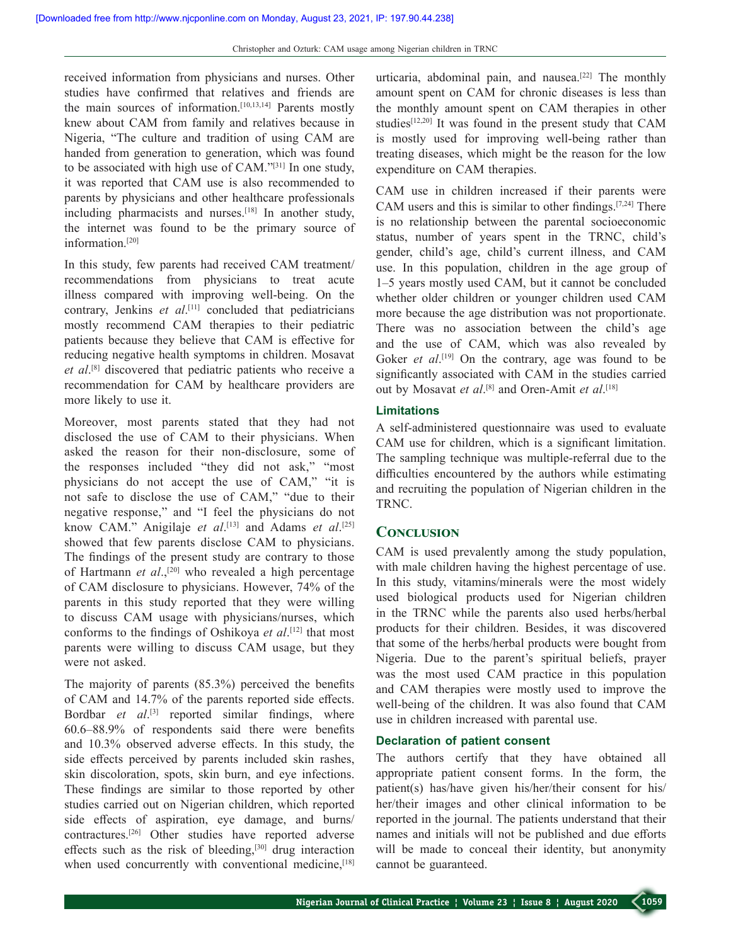received information from physicians and nurses. Other studies have confirmed that relatives and friends are the main sources of information.[10,13,14] Parents mostly knew about CAM from family and relatives because in Nigeria, "The culture and tradition of using CAM are handed from generation to generation, which was found to be associated with high use of CAM."[31] In one study, it was reported that CAM use is also recommended to parents by physicians and other healthcare professionals including pharmacists and nurses.[18] In another study, the internet was found to be the primary source of information.[20]

In this study, few parents had received CAM treatment/ recommendations from physicians to treat acute illness compared with improving well-being. On the contrary, Jenkins *et al*. [11] concluded that pediatricians mostly recommend CAM therapies to their pediatric patients because they believe that CAM is effective for reducing negative health symptoms in children. Mosavat *et al*. [8] discovered that pediatric patients who receive a recommendation for CAM by healthcare providers are more likely to use it.

Moreover, most parents stated that they had not disclosed the use of CAM to their physicians. When asked the reason for their non-disclosure, some of the responses included "they did not ask," "most physicians do not accept the use of CAM," "it is not safe to disclose the use of CAM," "due to their negative response," and "I feel the physicians do not know CAM." Anigilaje *et al*. [13] and Adams *et al*. [25] showed that few parents disclose CAM to physicians. The findings of the present study are contrary to those of Hartmann *et al*.,[20] who revealed a high percentage of CAM disclosure to physicians. However, 74% of the parents in this study reported that they were willing to discuss CAM usage with physicians/nurses, which conforms to the findings of Oshikoya *et al*. [12] that most parents were willing to discuss CAM usage, but they were not asked.

The majority of parents (85.3%) perceived the benefits of CAM and 14.7% of the parents reported side effects. Bordbar *et al*.<sup>[3]</sup> reported similar findings, where 60.6–88.9% of respondents said there were benefits and 10.3% observed adverse effects. In this study, the side effects perceived by parents included skin rashes, skin discoloration, spots, skin burn, and eye infections. These findings are similar to those reported by other studies carried out on Nigerian children, which reported side effects of aspiration, eye damage, and burns/ contractures.[26] Other studies have reported adverse effects such as the risk of bleeding,[30] drug interaction when used concurrently with conventional medicine, [18] urticaria, abdominal pain, and nausea.<sup>[22]</sup> The monthly amount spent on CAM for chronic diseases is less than the monthly amount spent on CAM therapies in other studies[12,20] It was found in the present study that CAM is mostly used for improving well-being rather than treating diseases, which might be the reason for the low expenditure on CAM therapies.

CAM use in children increased if their parents were CAM users and this is similar to other findings.[7,24] There is no relationship between the parental socioeconomic status, number of years spent in the TRNC, child's gender, child's age, child's current illness, and CAM use. In this population, children in the age group of 1–5 years mostly used CAM, but it cannot be concluded whether older children or younger children used CAM more because the age distribution was not proportionate. There was no association between the child's age and the use of CAM, which was also revealed by Goker *et al*.<sup>[19]</sup> On the contrary, age was found to be significantly associated with CAM in the studies carried out by Mosavat *et al*.<sup>[8]</sup> and Oren-Amit *et al*.<sup>[18]</sup>

#### **Limitations**

A self‑administered questionnaire was used to evaluate CAM use for children, which is a significant limitation. The sampling technique was multiple-referral due to the difficulties encountered by the authors while estimating and recruiting the population of Nigerian children in the TRNC.

#### **Conclusion**

CAM is used prevalently among the study population, with male children having the highest percentage of use. In this study, vitamins/minerals were the most widely used biological products used for Nigerian children in the TRNC while the parents also used herbs/herbal products for their children. Besides, it was discovered that some of the herbs/herbal products were bought from Nigeria. Due to the parent's spiritual beliefs, prayer was the most used CAM practice in this population and CAM therapies were mostly used to improve the well-being of the children. It was also found that CAM use in children increased with parental use.

#### **Declaration of patient consent**

The authors certify that they have obtained all appropriate patient consent forms. In the form, the patient(s) has/have given his/her/their consent for his/ her/their images and other clinical information to be reported in the journal. The patients understand that their names and initials will not be published and due efforts will be made to conceal their identity, but anonymity cannot be guaranteed.